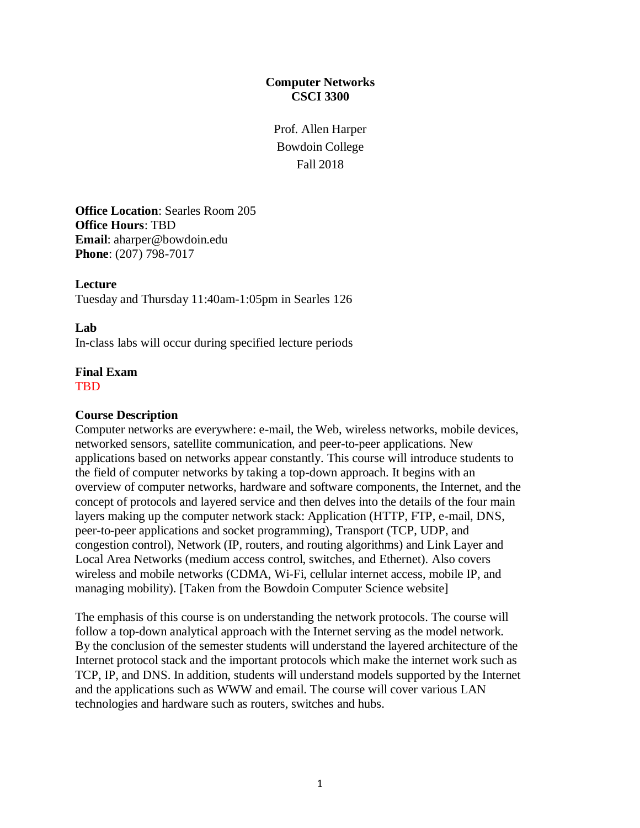## **Computer Networks CSCI 3300**

Prof. Allen Harper Bowdoin College Fall 2018

**Office Location**: Searles Room 205 **Office Hours**: TBD **Email**: aharper@bowdoin.edu **Phone**: (207) 798-7017

**Lecture** Tuesday and Thursday 11:40am-1:05pm in Searles 126

#### **Lab**

In-class labs will occur during specified lecture periods

#### **Final Exam** TBD

#### **Course Description**

Computer networks are everywhere: e-mail, the Web, wireless networks, mobile devices, networked sensors, satellite communication, and peer-to-peer applications. New applications based on networks appear constantly. This course will introduce students to the field of computer networks by taking a top-down approach. It begins with an overview of computer networks, hardware and software components, the Internet, and the concept of protocols and layered service and then delves into the details of the four main layers making up the computer network stack: Application (HTTP, FTP, e-mail, DNS, peer-to-peer applications and socket programming), Transport (TCP, UDP, and congestion control), Network (IP, routers, and routing algorithms) and Link Layer and Local Area Networks (medium access control, switches, and Ethernet). Also covers wireless and mobile networks (CDMA, Wi-Fi, cellular internet access, mobile IP, and managing mobility). [Taken from the Bowdoin Computer Science website]

The emphasis of this course is on understanding the network protocols. The course will follow a top-down analytical approach with the Internet serving as the model network. By the conclusion of the semester students will understand the layered architecture of the Internet protocol stack and the important protocols which make the internet work such as TCP, IP, and DNS. In addition, students will understand models supported by the Internet and the applications such as WWW and email. The course will cover various LAN technologies and hardware such as routers, switches and hubs.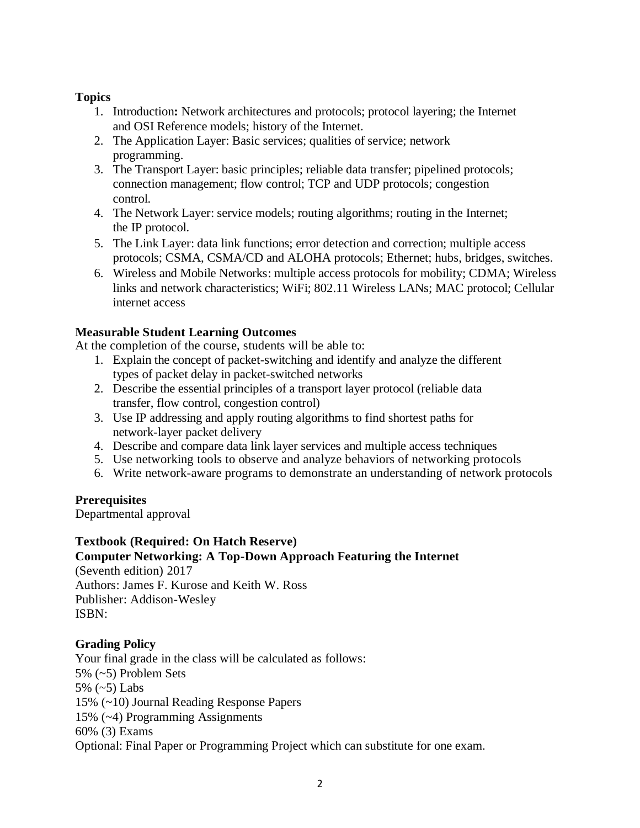## **Topics**

- 1. Introduction**:** Network architectures and protocols; protocol layering; the Internet and OSI Reference models; history of the Internet.
- 2. The Application Layer: Basic services; qualities of service; network programming.
- 3. The Transport Layer: basic principles; reliable data transfer; pipelined protocols; connection management; flow control; TCP and UDP protocols; congestion control.
- 4. The Network Layer: service models; routing algorithms; routing in the Internet; the IP protocol.
- 5. The Link Layer: data link functions; error detection and correction; multiple access protocols; CSMA, CSMA/CD and ALOHA protocols; Ethernet; hubs, bridges, switches.
- 6. Wireless and Mobile Networks: multiple access protocols for mobility; CDMA; Wireless links and network characteristics; WiFi; 802.11 Wireless LANs; MAC protocol; Cellular internet access

## **Measurable Student Learning Outcomes**

At the completion of the course, students will be able to:

- 1. Explain the concept of packet-switching and identify and analyze the different types of packet delay in packet-switched networks
- 2. Describe the essential principles of a transport layer protocol (reliable data transfer, flow control, congestion control)
- 3. Use IP addressing and apply routing algorithms to find shortest paths for network-layer packet delivery
- 4. Describe and compare data link layer services and multiple access techniques
- 5. Use networking tools to observe and analyze behaviors of networking protocols
- 6. Write network-aware programs to demonstrate an understanding of network protocols

## **Prerequisites**

Departmental approval

## **Textbook (Required: On Hatch Reserve)**

**Computer Networking: A Top-Down Approach Featuring the Internet**

(Seventh edition) 2017 Authors: James F. Kurose and Keith W. Ross Publisher: Addison-Wesley ISBN:

## **Grading Policy**

Your final grade in the class will be calculated as follows: 5% (~5) Problem Sets 5% (~5) Labs 15% (~10) Journal Reading Response Papers 15% (~4) Programming Assignments 60% (3) Exams Optional: Final Paper or Programming Project which can substitute for one exam.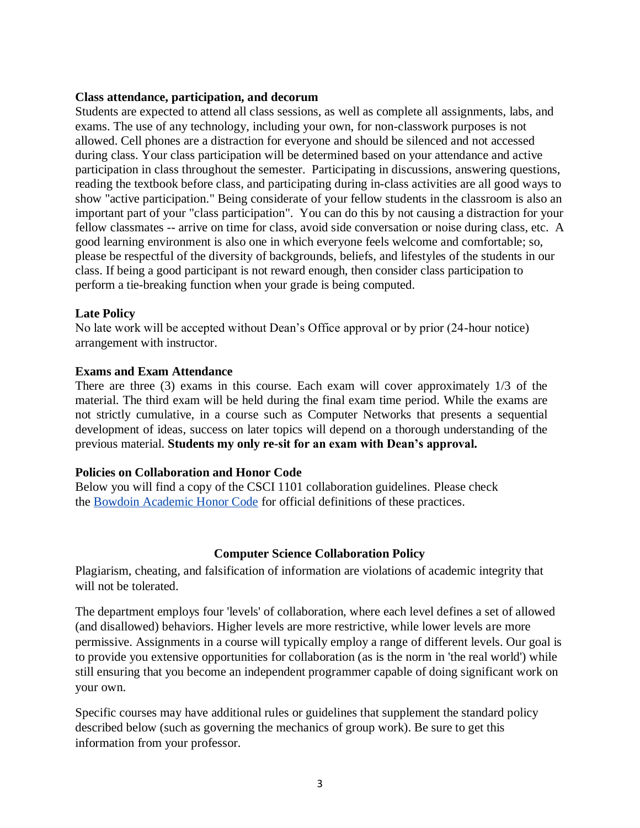#### **Class attendance, participation, and decorum**

Students are expected to attend all class sessions, as well as complete all assignments, labs, and exams. The use of any technology, including your own, for non-classwork purposes is not allowed. Cell phones are a distraction for everyone and should be silenced and not accessed during class. Your class participation will be determined based on your attendance and active participation in class throughout the semester. Participating in discussions, answering questions, reading the textbook before class, and participating during in-class activities are all good ways to show "active participation." Being considerate of your fellow students in the classroom is also an important part of your "class participation". You can do this by not causing a distraction for your fellow classmates -- arrive on time for class, avoid side conversation or noise during class, etc. A good learning environment is also one in which everyone feels welcome and comfortable; so, please be respectful of the diversity of backgrounds, beliefs, and lifestyles of the students in our class. If being a good participant is not reward enough, then consider class participation to perform a tie-breaking function when your grade is being computed.

#### **Late Policy**

No late work will be accepted without Dean's Office approval or by prior (24-hour notice) arrangement with instructor.

#### **Exams and Exam Attendance**

There are three (3) exams in this course. Each exam will cover approximately 1/3 of the material. The third exam will be held during the final exam time period. While the exams are not strictly cumulative, in a course such as Computer Networks that presents a sequential development of ideas, success on later topics will depend on a thorough understanding of the previous material. **Students my only re-sit for an exam with Dean's approval.**

#### **Policies on Collaboration and Honor Code**

Below you will find a copy of the CSCI 1101 collaboration guidelines. Please check the [Bowdoin Academic Honor Code](http://www.bowdoin.edu/studentaffairs/student-handbook/college-policies/index.shtml) for official definitions of these practices.

#### **Computer Science Collaboration Policy**

Plagiarism, cheating, and falsification of information are violations of academic integrity that will not be tolerated.

The department employs four 'levels' of collaboration, where each level defines a set of allowed (and disallowed) behaviors. Higher levels are more restrictive, while lower levels are more permissive. Assignments in a course will typically employ a range of different levels. Our goal is to provide you extensive opportunities for collaboration (as is the norm in 'the real world') while still ensuring that you become an independent programmer capable of doing significant work on your own.

Specific courses may have additional rules or guidelines that supplement the standard policy described below (such as governing the mechanics of group work). Be sure to get this information from your professor.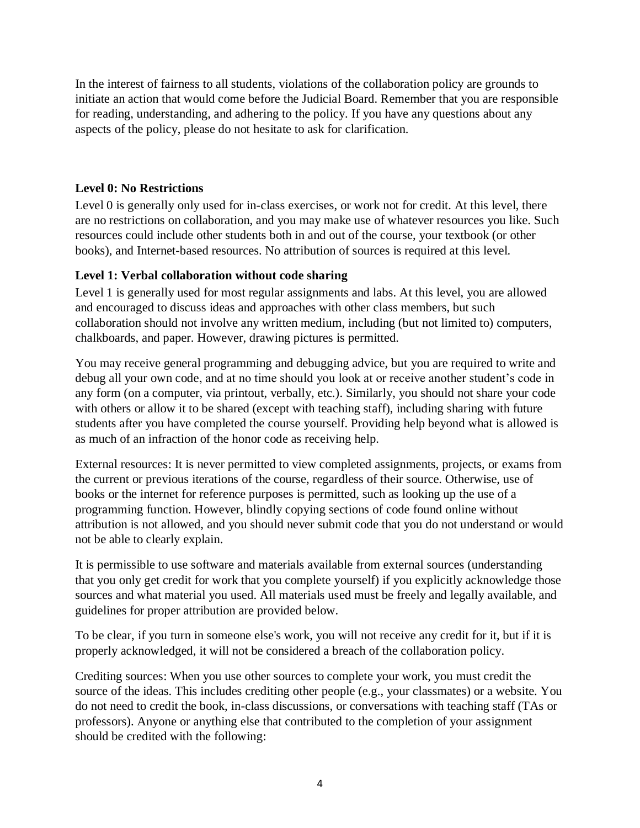In the interest of fairness to all students, violations of the collaboration policy are grounds to initiate an action that would come before the Judicial Board. Remember that you are responsible for reading, understanding, and adhering to the policy. If you have any questions about any aspects of the policy, please do not hesitate to ask for clarification.

### **Level 0: No Restrictions**

Level 0 is generally only used for in-class exercises, or work not for credit. At this level, there are no restrictions on collaboration, and you may make use of whatever resources you like. Such resources could include other students both in and out of the course, your textbook (or other books), and Internet-based resources. No attribution of sources is required at this level.

## **Level 1: Verbal collaboration without code sharing**

Level 1 is generally used for most regular assignments and labs. At this level, you are allowed and encouraged to discuss ideas and approaches with other class members, but such collaboration should not involve any written medium, including (but not limited to) computers, chalkboards, and paper. However, drawing pictures is permitted.

You may receive general programming and debugging advice, but you are required to write and debug all your own code, and at no time should you look at or receive another student's code in any form (on a computer, via printout, verbally, etc.). Similarly, you should not share your code with others or allow it to be shared (except with teaching staff), including sharing with future students after you have completed the course yourself. Providing help beyond what is allowed is as much of an infraction of the honor code as receiving help.

External resources: It is never permitted to view completed assignments, projects, or exams from the current or previous iterations of the course, regardless of their source. Otherwise, use of books or the internet for reference purposes is permitted, such as looking up the use of a programming function. However, blindly copying sections of code found online without attribution is not allowed, and you should never submit code that you do not understand or would not be able to clearly explain.

It is permissible to use software and materials available from external sources (understanding that you only get credit for work that you complete yourself) if you explicitly acknowledge those sources and what material you used. All materials used must be freely and legally available, and guidelines for proper attribution are provided below.

To be clear, if you turn in someone else's work, you will not receive any credit for it, but if it is properly acknowledged, it will not be considered a breach of the collaboration policy.

Crediting sources: When you use other sources to complete your work, you must credit the source of the ideas. This includes crediting other people (e.g., your classmates) or a website. You do not need to credit the book, in-class discussions, or conversations with teaching staff (TAs or professors). Anyone or anything else that contributed to the completion of your assignment should be credited with the following: